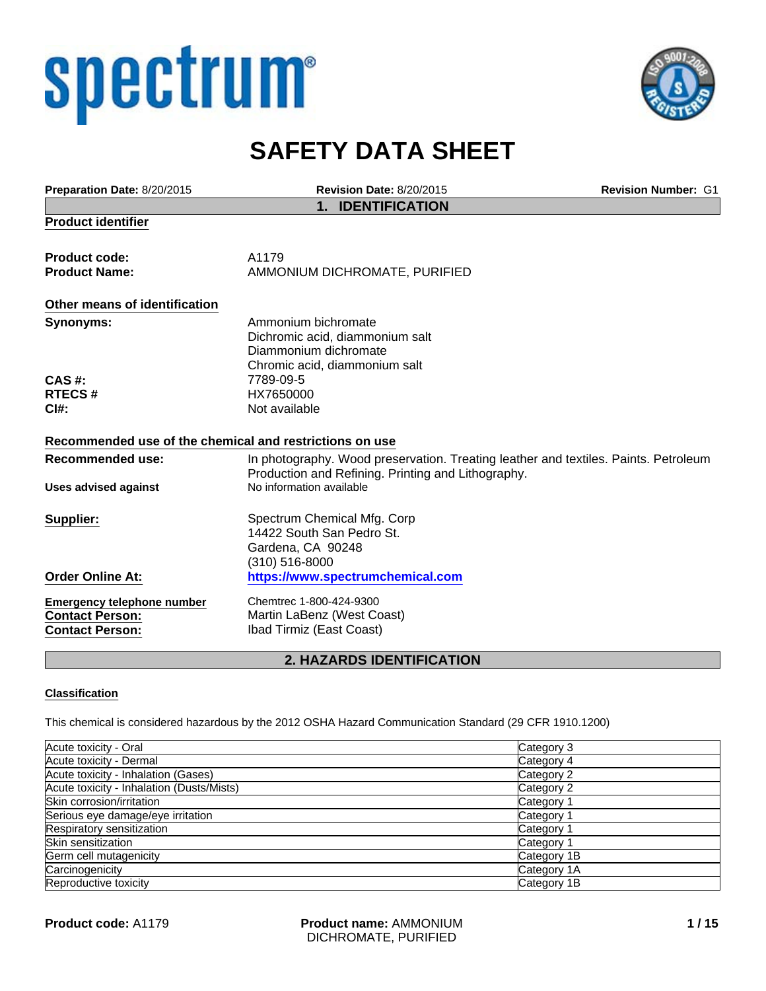# spectrum®



## **SAFETY DATA SHEET**

| Preparation Date: 8/20/2015                                                           | <b>Revision Date: 8/20/2015</b>                                                                                                           | <b>Revision Number: G1</b> |
|---------------------------------------------------------------------------------------|-------------------------------------------------------------------------------------------------------------------------------------------|----------------------------|
|                                                                                       | <b>IDENTIFICATION</b><br>1.                                                                                                               |                            |
| <b>Product identifier</b>                                                             |                                                                                                                                           |                            |
| <b>Product code:</b>                                                                  | A1179                                                                                                                                     |                            |
| <b>Product Name:</b>                                                                  | AMMONIUM DICHROMATE, PURIFIED                                                                                                             |                            |
| Other means of identification                                                         |                                                                                                                                           |                            |
| <b>Synonyms:</b>                                                                      | Ammonium bichromate<br>Dichromic acid, diammonium salt<br>Diammonium dichromate<br>Chromic acid, diammonium salt                          |                            |
| CAS #:                                                                                | 7789-09-5                                                                                                                                 |                            |
| <b>RTECS#</b>                                                                         | HX7650000                                                                                                                                 |                            |
| C <sub>1#</sub> :                                                                     | Not available                                                                                                                             |                            |
| Recommended use of the chemical and restrictions on use                               |                                                                                                                                           |                            |
| <b>Recommended use:</b>                                                               | In photography. Wood preservation. Treating leather and textiles. Paints. Petroleum<br>Production and Refining. Printing and Lithography. |                            |
| <b>Uses advised against</b>                                                           | No information available                                                                                                                  |                            |
| Supplier:                                                                             | Spectrum Chemical Mfg. Corp<br>14422 South San Pedro St.<br>Gardena, CA 90248<br>(310) 516-8000                                           |                            |
| <b>Order Online At:</b>                                                               | https://www.spectrumchemical.com                                                                                                          |                            |
| <b>Emergency telephone number</b><br><b>Contact Person:</b><br><b>Contact Person:</b> | Chemtrec 1-800-424-9300<br>Martin LaBenz (West Coast)<br>Ibad Tirmiz (East Coast)                                                         |                            |

#### **2. HAZARDS IDENTIFICATION**

#### **Classification**

This chemical is considered hazardous by the 2012 OSHA Hazard Communication Standard (29 CFR 1910.1200)

| Acute toxicity - Oral                     | Category 3            |
|-------------------------------------------|-----------------------|
| Acute toxicity - Dermal                   | Category 4            |
| Acute toxicity - Inhalation (Gases)       | Category 2            |
| Acute toxicity - Inhalation (Dusts/Mists) | Category 2            |
| Skin corrosion/irritation                 | Category 1            |
| Serious eye damage/eye irritation         | Category <sup>2</sup> |
| Respiratory sensitization                 | Category <sup>-</sup> |
| Skin sensitization                        | Category 1            |
| Germ cell mutagenicity                    | Category 1B           |
| Carcinogenicity                           | Category 1A           |
| Reproductive toxicity                     | Category 1B           |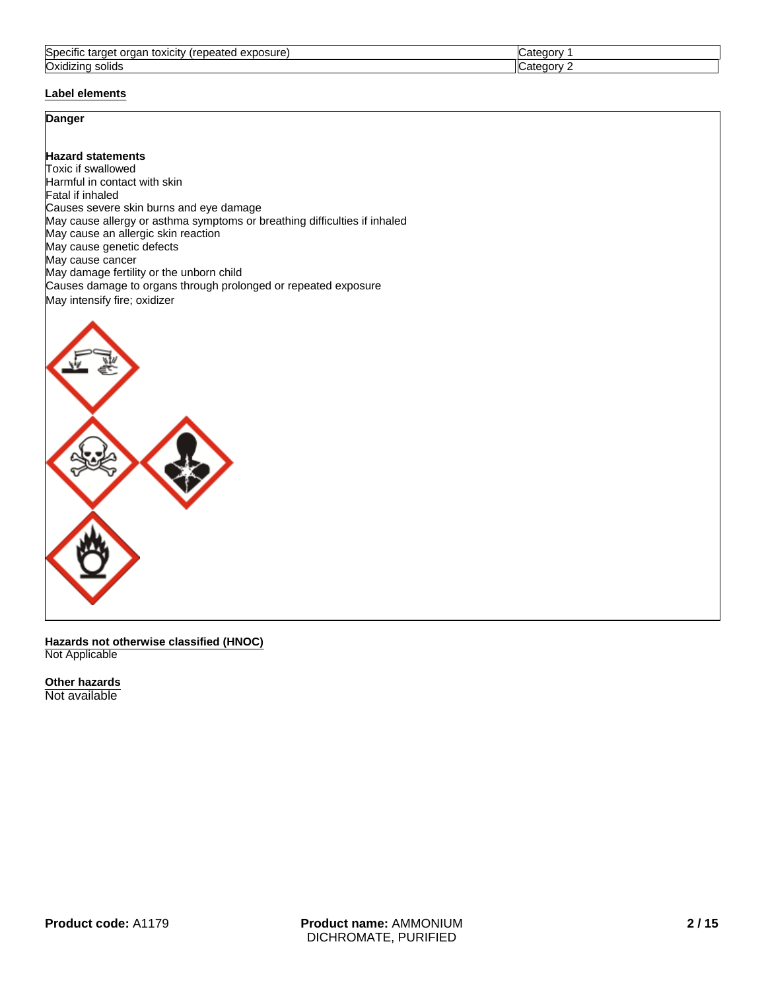| Spe <sup>r</sup><br>exposure<br>organ<br>-------<br>toxicity<br>------<br>eated<br>nei<br>पाट स्वा<br>-c∪⊨ | .             |
|------------------------------------------------------------------------------------------------------------|---------------|
| $\cdot$ .<br>Oxidizino<br>ıκ<br>solids                                                                     | $\sim$ $   -$ |

#### **Label elements**

#### **Danger**

#### **Hazard statements**

Toxic if swallowed Harmful in contact with skin Fatal if inhaled Causes severe skin burns and eye damage May cause allergy or asthma symptoms or breathing difficulties if inhaled May cause an allergic skin reaction May cause genetic defects May cause cancer May damage fertility or the unborn child Causes damage to organs through prolonged or repeated exposure May intensify fire; oxidizer



**Hazards not otherwise classified (HNOC)** Not Applicable

**Other hazards** Not available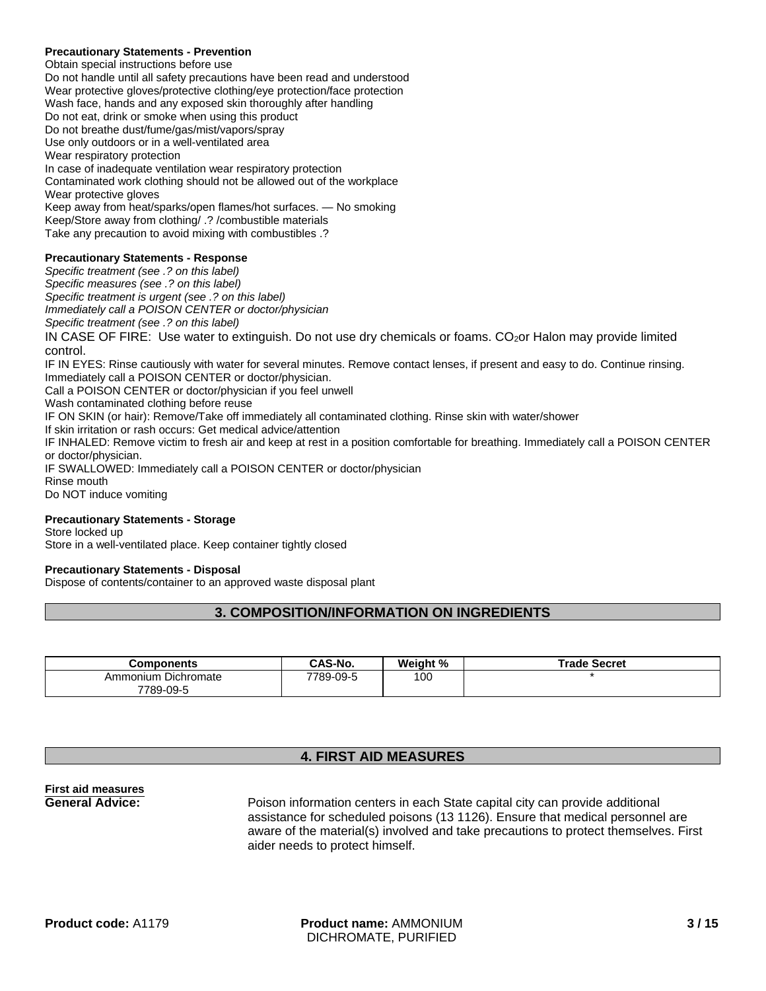#### **Precautionary Statements - Prevention**

Obtain special instructions before use Do not handle until all safety precautions have been read and understood Wear protective gloves/protective clothing/eye protection/face protection Wash face, hands and any exposed skin thoroughly after handling Do not eat, drink or smoke when using this product Do not breathe dust/fume/gas/mist/vapors/spray Use only outdoors or in a well-ventilated area Wear respiratory protection In case of inadequate ventilation wear respiratory protection Contaminated work clothing should not be allowed out of the workplace Wear protective gloves Keep away from heat/sparks/open flames/hot surfaces. — No smoking Keep/Store away from clothing/ .? /combustible materials Take any precaution to avoid mixing with combustibles .?

#### **Precautionary Statements - Response**

*Specific treatment (see .? on this label) Specific measures (see .? on this label) Specific treatment is urgent (see .? on this label) Immediately call a POISON CENTER or doctor/physician Specific treatment (see .? on this label)* IN CASE OF FIRE: Use water to extinguish. Do not use dry chemicals or foams. CO<sub>2</sub>or Halon may provide limited control. IF IN EYES: Rinse cautiously with water for several minutes. Remove contact lenses, if present and easy to do. Continue rinsing. Immediately call a POISON CENTER or doctor/physician. Call a POISON CENTER or doctor/physician if you feel unwell Wash contaminated clothing before reuse IF ON SKIN (or hair): Remove/Take off immediately all contaminated clothing. Rinse skin with water/shower If skin irritation or rash occurs: Get medical advice/attention IF INHALED: Remove victim to fresh air and keep at rest in a position comfortable for breathing. Immediately call a POISON CENTER or doctor/physician. IF SWALLOWED: Immediately call a POISON CENTER or doctor/physician Rinse mouth Do NOT induce vomiting

#### **Precautionary Statements - Storage**

Store locked up

Store in a well-ventilated place. Keep container tightly closed

#### **Precautionary Statements - Disposal**

Dispose of contents/container to an approved waste disposal plant

#### **3. COMPOSITION/INFORMATION ON INGREDIENTS**

| Components                       | CAS-No.  | Weight % | Trade Secret |
|----------------------------------|----------|----------|--------------|
| Ammonium Dichromate<br>7789-09-5 | 789-09-5 | 100      |              |

#### **4. FIRST AID MEASURES**

## **First aid measures**

**General Advice:** Poison information centers in each State capital city can provide additional assistance for scheduled poisons (13 1126). Ensure that medical personnel are aware of the material(s) involved and take precautions to protect themselves. First aider needs to protect himself.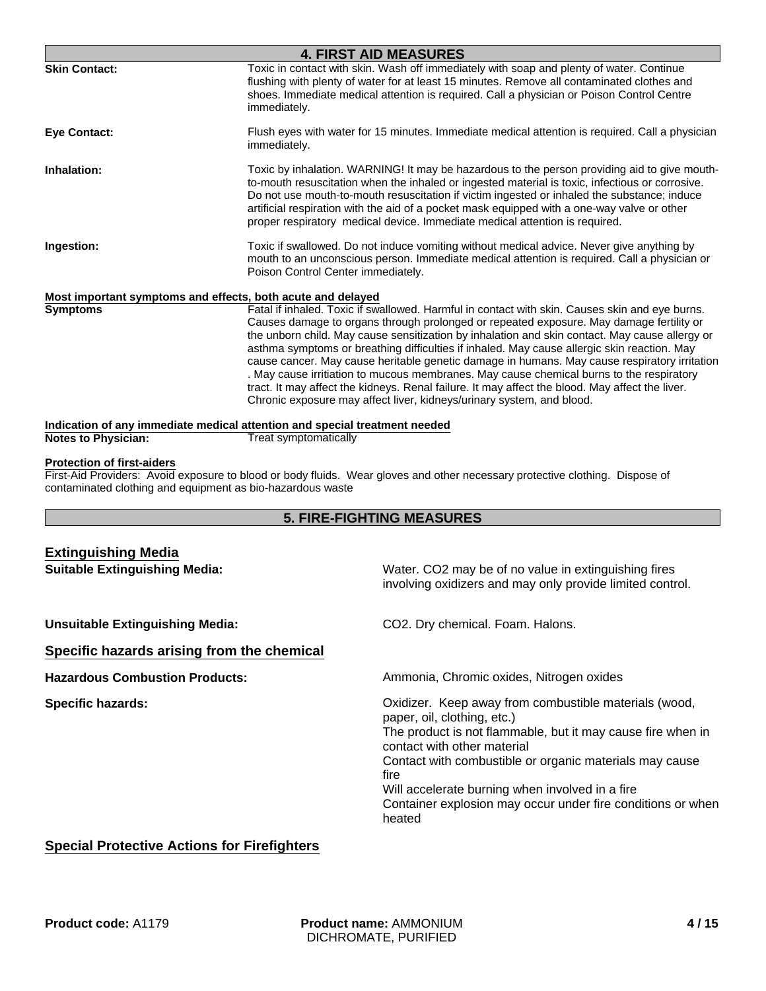| <b>4. FIRST AID MEASURES</b>                                |                                                                                                                                                                                                                                                                                                                                                                                                                                                                                                                                                                                                                                                                                                                                                                    |  |
|-------------------------------------------------------------|--------------------------------------------------------------------------------------------------------------------------------------------------------------------------------------------------------------------------------------------------------------------------------------------------------------------------------------------------------------------------------------------------------------------------------------------------------------------------------------------------------------------------------------------------------------------------------------------------------------------------------------------------------------------------------------------------------------------------------------------------------------------|--|
| <b>Skin Contact:</b>                                        | Toxic in contact with skin. Wash off immediately with soap and plenty of water. Continue<br>flushing with plenty of water for at least 15 minutes. Remove all contaminated clothes and<br>shoes. Immediate medical attention is required. Call a physician or Poison Control Centre<br>immediately.                                                                                                                                                                                                                                                                                                                                                                                                                                                                |  |
| <b>Eye Contact:</b>                                         | Flush eyes with water for 15 minutes. Immediate medical attention is required. Call a physician<br>immediately.                                                                                                                                                                                                                                                                                                                                                                                                                                                                                                                                                                                                                                                    |  |
| Inhalation:                                                 | Toxic by inhalation. WARNING! It may be hazardous to the person providing aid to give mouth-<br>to-mouth resuscitation when the inhaled or ingested material is toxic, infectious or corrosive.<br>Do not use mouth-to-mouth resuscitation if victim ingested or inhaled the substance; induce<br>artificial respiration with the aid of a pocket mask equipped with a one-way valve or other<br>proper respiratory medical device. Immediate medical attention is required.                                                                                                                                                                                                                                                                                       |  |
| Ingestion:                                                  | Toxic if swallowed. Do not induce vomiting without medical advice. Never give anything by<br>mouth to an unconscious person. Immediate medical attention is required. Call a physician or<br>Poison Control Center immediately.                                                                                                                                                                                                                                                                                                                                                                                                                                                                                                                                    |  |
| Most important symptoms and effects, both acute and delayed |                                                                                                                                                                                                                                                                                                                                                                                                                                                                                                                                                                                                                                                                                                                                                                    |  |
| <b>Symptoms</b>                                             | Fatal if inhaled. Toxic if swallowed. Harmful in contact with skin. Causes skin and eye burns.<br>Causes damage to organs through prolonged or repeated exposure. May damage fertility or<br>the unborn child. May cause sensitization by inhalation and skin contact. May cause allergy or<br>asthma symptoms or breathing difficulties if inhaled. May cause allergic skin reaction. May<br>cause cancer. May cause heritable genetic damage in humans. May cause respiratory irritation<br>. May cause irritiation to mucous membranes. May cause chemical burns to the respiratory<br>tract. It may affect the kidneys. Renal failure. It may affect the blood. May affect the liver.<br>Chronic exposure may affect liver, kidneys/urinary system, and blood. |  |
|                                                             | Indication of any immediate medical attention and special treatment needed                                                                                                                                                                                                                                                                                                                                                                                                                                                                                                                                                                                                                                                                                         |  |
| <b>Notes to Physician:</b>                                  | Treat symptomatically                                                                                                                                                                                                                                                                                                                                                                                                                                                                                                                                                                                                                                                                                                                                              |  |

#### **Protection of first-aiders**

First-Aid Providers: Avoid exposure to blood or body fluids. Wear gloves and other necessary protective clothing. Dispose of contaminated clothing and equipment as bio-hazardous waste

#### **5. FIRE-FIGHTING MEASURES**

| <b>Extinguishing Media</b>                 |                                                                                                                                                                                                                                                                                                                                                                                   |
|--------------------------------------------|-----------------------------------------------------------------------------------------------------------------------------------------------------------------------------------------------------------------------------------------------------------------------------------------------------------------------------------------------------------------------------------|
| <b>Suitable Extinguishing Media:</b>       | Water. CO2 may be of no value in extinguishing fires<br>involving oxidizers and may only provide limited control.                                                                                                                                                                                                                                                                 |
| <b>Unsuitable Extinguishing Media:</b>     | CO2. Dry chemical. Foam. Halons.                                                                                                                                                                                                                                                                                                                                                  |
| Specific hazards arising from the chemical |                                                                                                                                                                                                                                                                                                                                                                                   |
| <b>Hazardous Combustion Products:</b>      | Ammonia, Chromic oxides, Nitrogen oxides                                                                                                                                                                                                                                                                                                                                          |
| <b>Specific hazards:</b>                   | Oxidizer. Keep away from combustible materials (wood,<br>paper, oil, clothing, etc.)<br>The product is not flammable, but it may cause fire when in<br>contact with other material<br>Contact with combustible or organic materials may cause<br>fire<br>Will accelerate burning when involved in a fire<br>Container explosion may occur under fire conditions or when<br>heated |

### **Special Protective Actions for Firefighters**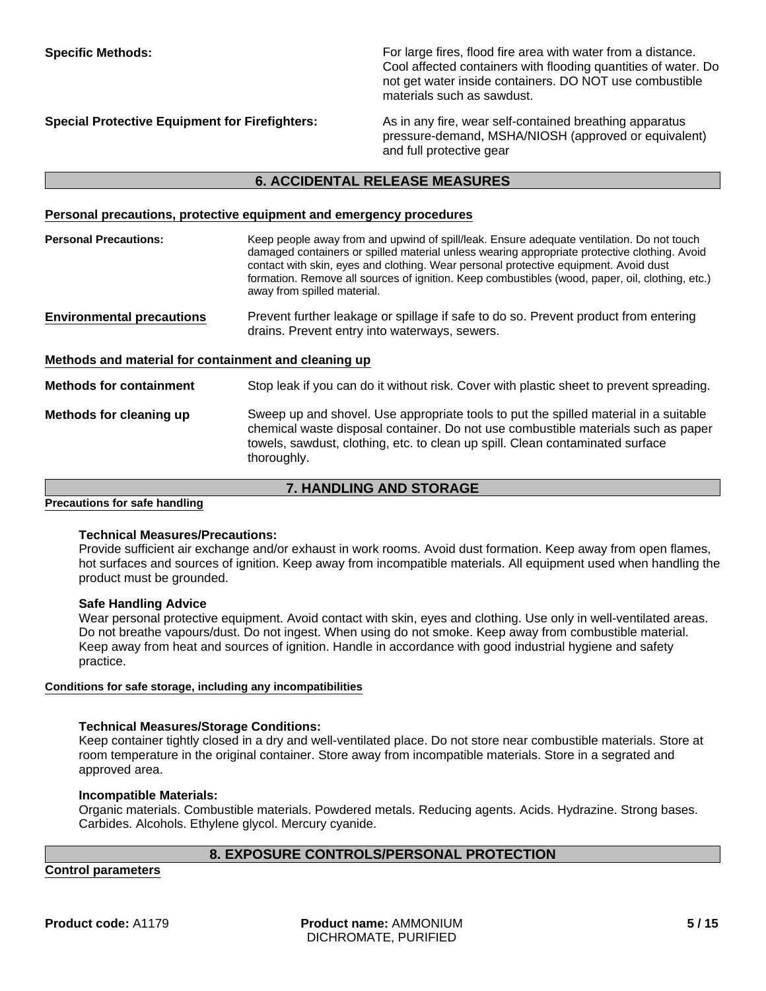**Specific Methods:** For large fires, flood fire area with water from a distance. Cool affected containers with flooding quantities of water. Do not get water inside containers. DO NOT use combustible materials such as sawdust.

**Special Protective Equipment for Firefighters:** As in any fire, wear self-contained breathing apparatus pressure-demand, MSHA/NIOSH (approved or equivalent) and full protective gear

#### **6. ACCIDENTAL RELEASE MEASURES**

#### **Personal precautions, protective equipment and emergency procedures**

| <b>Personal Precautions:</b>                         | Keep people away from and upwind of spill/leak. Ensure adequate ventilation. Do not touch<br>damaged containers or spilled material unless wearing appropriate protective clothing. Avoid<br>contact with skin, eyes and clothing. Wear personal protective equipment. Avoid dust<br>formation. Remove all sources of ignition. Keep combustibles (wood, paper, oil, clothing, etc.)<br>away from spilled material. |
|------------------------------------------------------|---------------------------------------------------------------------------------------------------------------------------------------------------------------------------------------------------------------------------------------------------------------------------------------------------------------------------------------------------------------------------------------------------------------------|
| <b>Environmental precautions</b>                     | Prevent further leakage or spillage if safe to do so. Prevent product from entering<br>drains. Prevent entry into waterways, sewers.                                                                                                                                                                                                                                                                                |
| Methods and material for containment and cleaning up |                                                                                                                                                                                                                                                                                                                                                                                                                     |
| <b>Methods for containment</b>                       | Stop leak if you can do it without risk. Cover with plastic sheet to prevent spreading.                                                                                                                                                                                                                                                                                                                             |
| Methods for cleaning up                              | Sweep up and shovel. Use appropriate tools to put the spilled material in a suitable<br>chemical waste disposal container. Do not use combustible materials such as paper<br>towels, sawdust, clothing, etc. to clean up spill. Clean contaminated surface<br>thoroughly.                                                                                                                                           |

**7. HANDLING AND STORAGE**

**Precautions for safe handling**

#### **Technical Measures/Precautions:**

Provide sufficient air exchange and/or exhaust in work rooms. Avoid dust formation. Keep away from open flames, hot surfaces and sources of ignition. Keep away from incompatible materials. All equipment used when handling the product must be grounded.

#### **Safe Handling Advice**

Wear personal protective equipment. Avoid contact with skin, eyes and clothing. Use only in well-ventilated areas. Do not breathe vapours/dust. Do not ingest. When using do not smoke. Keep away from combustible material. Keep away from heat and sources of ignition. Handle in accordance with good industrial hygiene and safety practice.

#### **Conditions for safe storage, including any incompatibilities**

#### **Technical Measures/Storage Conditions:**

Keep container tightly closed in a dry and well-ventilated place. Do not store near combustible materials. Store at room temperature in the original container. Store away from incompatible materials. Store in a segrated and approved area.

#### **Incompatible Materials:**

Organic materials. Combustible materials. Powdered metals. Reducing agents. Acids. Hydrazine. Strong bases. Carbides. Alcohols. Ethylene glycol. Mercury cyanide.

#### **8. EXPOSURE CONTROLS/PERSONAL PROTECTION**

**Control parameters**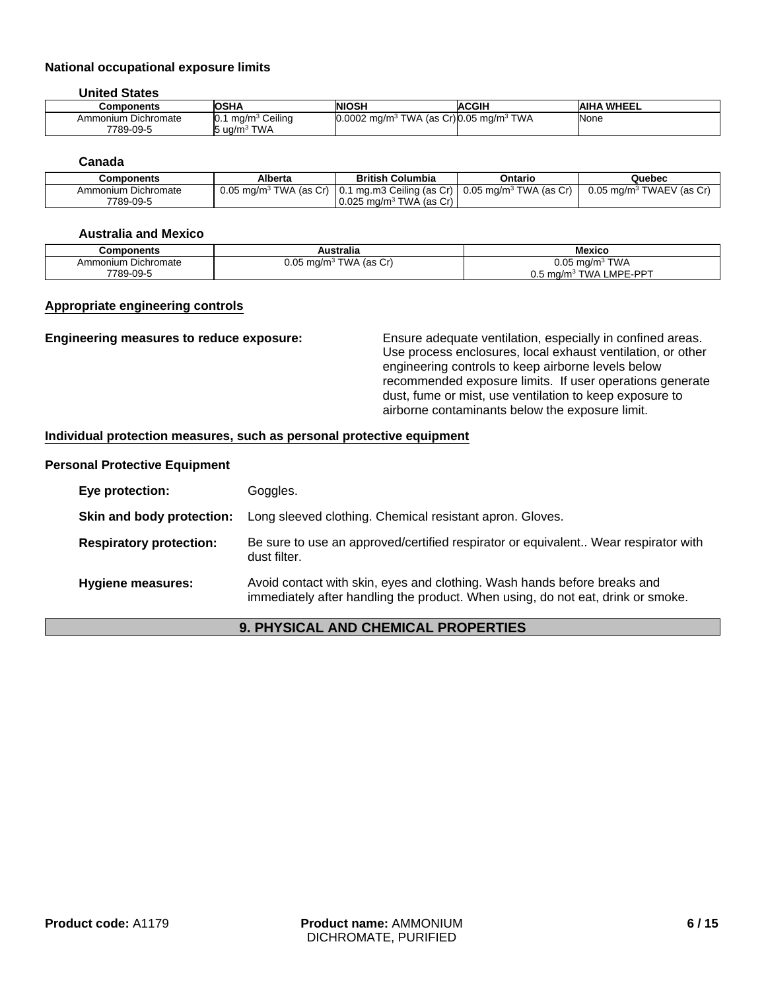#### **National occupational exposure limits**

**United States**

| Components          | <b>OSHA</b>                                  | <b>NIOSH</b>                                               | <b>ACGIH</b> | <b>AIHA WHEEL</b> |
|---------------------|----------------------------------------------|------------------------------------------------------------|--------------|-------------------|
| Ammonium Dichromate | `Ceilina<br>$\cdot$ ma/m <sup>3</sup><br>IV. | 0.0002 mg/m <sup>3</sup> TWA (as Cr)0.05 mg/m <sup>3</sup> | ` TWA        | None              |
| 7789-09-5           | ' TWA<br>ີວ uα/m <sup>3</sup> ີ              |                                                            |              |                   |

#### **Canada**

| Components          | Alberta | <b>British Columbia</b>                             | Ontario | Quebec                                                                                                                         |
|---------------------|---------|-----------------------------------------------------|---------|--------------------------------------------------------------------------------------------------------------------------------|
| Ammonium Dichromate |         |                                                     |         | $^{\prime}$ 0.05 mg/m $^3$ TWA (as Cr)   0.1 mg.m3 Ceiling (as Cr)   0.05 mg/m $^3$ TWA (as Cr)   0.05 mg/m $^3$ TWAEV (as Cr) |
| 7789-09-5           |         | $\vert$ 0.025 mg/m <sup>3</sup> TWA (as Cr) $\vert$ |         |                                                                                                                                |

#### **Australia and Mexico**

| Components          | Australia                            | Mexico                                       |
|---------------------|--------------------------------------|----------------------------------------------|
| Ammonium Dichromate | $0.05$ mg/m <sup>3</sup> TWA (as Cr) | <sup>}</sup> TWA<br>$0.05 \text{ mg/m}^3$    |
| 7789-09-5           |                                      | TWA LMPE-PPT<br>$0.5~{\rm m}$ g/m $^{\rm s}$ |

#### **Appropriate engineering controls**

**Engineering measures to reduce exposure:** Ensure adequate ventilation, especially in confined areas. Use process enclosures, local exhaust ventilation, or other engineering controls to keep airborne levels below recommended exposure limits. If user operations generate dust, fume or mist, use ventilation to keep exposure to airborne contaminants below the exposure limit.

#### **Individual protection measures, such as personal protective equipment**

#### **Personal Protective Equipment**

| Eye protection:                | Goggles.                                                                                                                                                    |
|--------------------------------|-------------------------------------------------------------------------------------------------------------------------------------------------------------|
| Skin and body protection:      | Long sleeved clothing. Chemical resistant apron. Gloves.                                                                                                    |
| <b>Respiratory protection:</b> | Be sure to use an approved/certified respirator or equivalent Wear respirator with<br>dust filter.                                                          |
| <b>Hygiene measures:</b>       | Avoid contact with skin, eyes and clothing. Wash hands before breaks and<br>immediately after handling the product. When using, do not eat, drink or smoke. |

#### **9. PHYSICAL AND CHEMICAL PROPERTIES**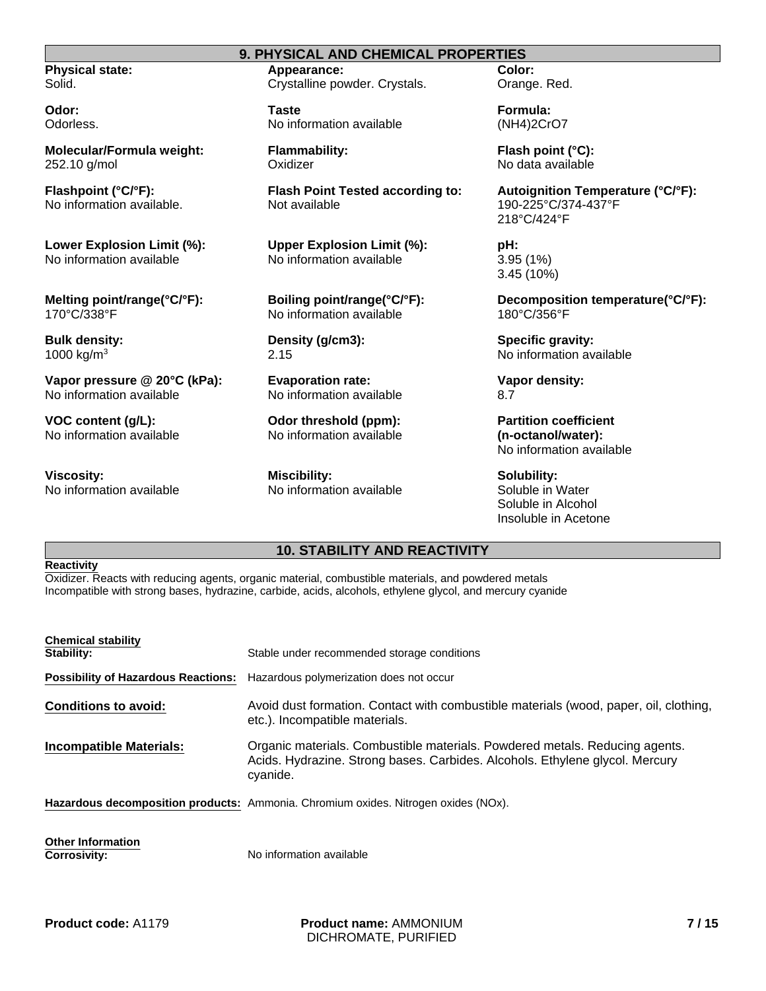**Physical state:** Solid.

**Odor:** Odorless.

**Molecular/Formula weight:** 252.10 g/mol

**Flashpoint (°C/°F):** No information available.

**Lower Explosion Limit (%):** No information available

**Melting point/range(°C/°F):** 170°C/338°F

**Bulk density:** 1000 kg/m3

**Vapor pressure @ 20°C (kPa):** No information available

**VOC content (g/L):** No information available

**Viscosity:** No information available

#### **9. PHYSICAL AND CHEMICAL PROPERTIES**

**Appearance:** Crystalline powder. Crystals.

**Taste** No information available

**Flammability: Oxidizer** 

**Flash Point Tested according to:** Not available

**Upper Explosion Limit (%):** No information available

**Boiling point/range(°C/°F):** No information available

**Density (g/cm3):** 2.15

**Evaporation rate:** No information available

**Odor threshold (ppm):** No information available

**Miscibility:** No information available **Color:** Orange. Red.

**Formula:** (NH4)2CrO7

**Flash point (°C):** No data available

**Autoignition Temperature (°C/°F):** 190-225°C/374-437°F 218°C/424°F

**pH:** 3.95 (1%) 3.45 (10%)

**Decomposition temperature(°C/°F):** 180°C/356°F

**Specific gravity:** No information available

**Vapor density:** 8.7

**Partition coefficient (n-octanol/water):** No information available

**Solubility:** Soluble in Water Soluble in Alcohol Insoluble in Acetone

#### **10. STABILITY AND REACTIVITY**

#### **Reactivity**

Oxidizer. Reacts with reducing agents, organic material, combustible materials, and powdered metals Incompatible with strong bases, hydrazine, carbide, acids, alcohols, ethylene glycol, and mercury cyanide

| <b>Chemical stability</b><br>Stability:         | Stable under recommended storage conditions                                                                                                                             |
|-------------------------------------------------|-------------------------------------------------------------------------------------------------------------------------------------------------------------------------|
| <b>Possibility of Hazardous Reactions:</b>      | Hazardous polymerization does not occur                                                                                                                                 |
| <b>Conditions to avoid:</b>                     | Avoid dust formation. Contact with combustible materials (wood, paper, oil, clothing,<br>etc.). Incompatible materials.                                                 |
| Incompatible Materials:                         | Organic materials. Combustible materials. Powdered metals. Reducing agents.<br>Acids. Hydrazine. Strong bases. Carbides. Alcohols. Ethylene glycol. Mercury<br>cyanide. |
|                                                 | <b>Hazardous decomposition products:</b> Ammonia. Chromium oxides. Nitrogen oxides (NOx).                                                                               |
| <b>Other Information</b><br><b>Corrosivity:</b> | No information available                                                                                                                                                |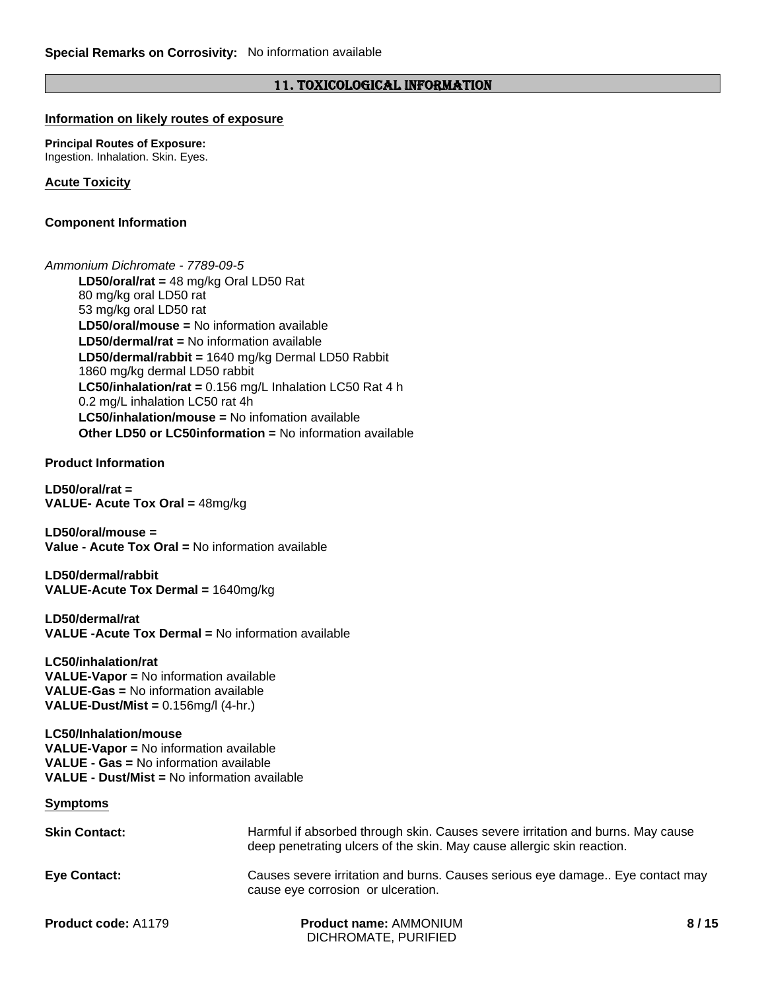#### 11. TOXICOLOGICAL INFORMATION

#### **Information on likely routes of exposure**

**Principal Routes of Exposure:** Ingestion. Inhalation. Skin. Eyes.

**Acute Toxicity**

#### **Component Information**

**LC50/inhalation/mouse =** No infomation available **LD50/oral/rat =** 48 mg/kg Oral LD50 Rat 80 mg/kg oral LD50 rat 53 mg/kg oral LD50 rat **Other LD50 or LC50information =** No information available **LD50/dermal/rat =** No information available *Ammonium Dichromate - 7789-09-5* **LD50/dermal/rabbit =** 1640 mg/kg Dermal LD50 Rabbit 1860 mg/kg dermal LD50 rabbit **LC50/inhalation/rat =** 0.156 mg/L Inhalation LC50 Rat 4 h 0.2 mg/L inhalation LC50 rat 4h **LD50/oral/mouse =** No information available

**Product Information**

**LD50/oral/rat = VALUE- Acute Tox Oral =** 48mg/kg

**LD50/oral/mouse = Value - Acute Tox Oral =** No information available

**LD50/dermal/rabbit VALUE-Acute Tox Dermal =** 1640mg/kg

**LD50/dermal/rat VALUE -Acute Tox Dermal =** No information available

**LC50/inhalation/rat VALUE-Vapor =** No information available **VALUE-Gas =** No information available **VALUE-Dust/Mist =** 0.156mg/l (4-hr.)

#### **LC50/Inhalation/mouse VALUE-Vapor =** No information available **VALUE - Gas =** No information available **VALUE - Dust/Mist =** No information available

**Symptoms**

| <b>Skin Contact:</b>       | Harmful if absorbed through skin. Causes severe irritation and burns. May cause<br>deep penetrating ulcers of the skin. May cause allergic skin reaction. |      |
|----------------------------|-----------------------------------------------------------------------------------------------------------------------------------------------------------|------|
| Eye Contact:               | Causes severe irritation and burns. Causes serious eye damage Eye contact may<br>cause eye corrosion or ulceration.                                       |      |
| <b>Product code: A1179</b> | <b>Product name: AMMONIUM</b><br>DICHROMATE, PURIFIED                                                                                                     | 8/15 |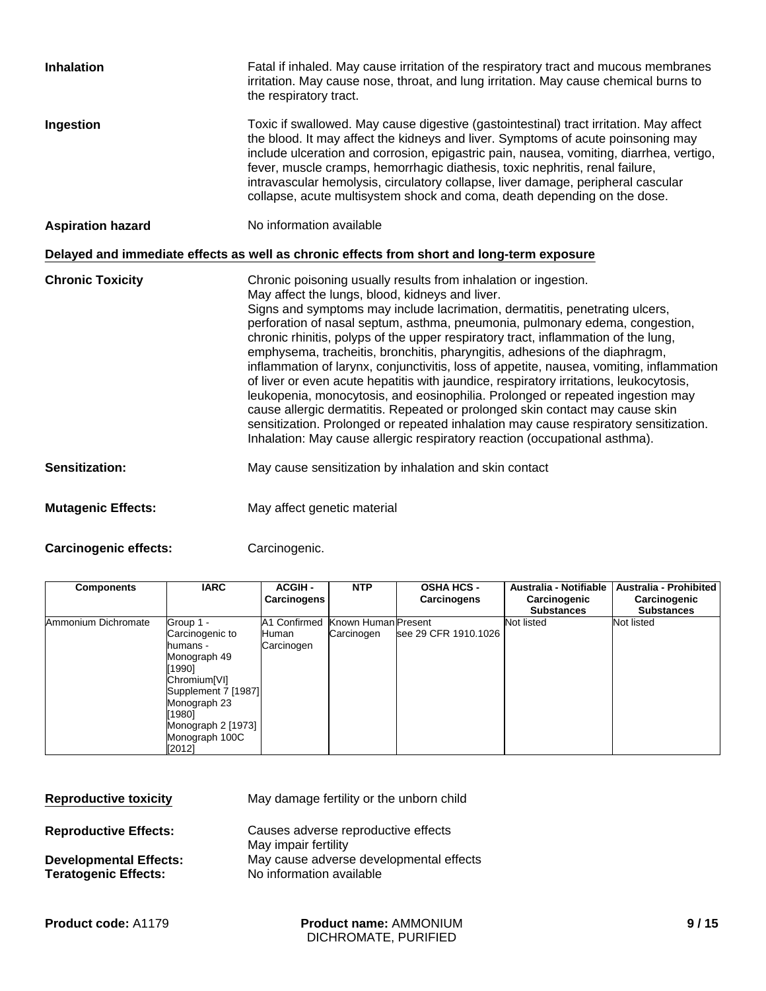| <b>Inhalation</b>         | Fatal if inhaled. May cause irritation of the respiratory tract and mucous membranes<br>irritation. May cause nose, throat, and lung irritation. May cause chemical burns to<br>the respiratory tract.                                                                                                                                                                                                                                                                                                                                                                                                                                                                                                                                                                                                                                                                                                                                                                               |
|---------------------------|--------------------------------------------------------------------------------------------------------------------------------------------------------------------------------------------------------------------------------------------------------------------------------------------------------------------------------------------------------------------------------------------------------------------------------------------------------------------------------------------------------------------------------------------------------------------------------------------------------------------------------------------------------------------------------------------------------------------------------------------------------------------------------------------------------------------------------------------------------------------------------------------------------------------------------------------------------------------------------------|
| Ingestion                 | Toxic if swallowed. May cause digestive (gastointestinal) tract irritation. May affect<br>the blood. It may affect the kidneys and liver. Symptoms of acute poinsoning may<br>include ulceration and corrosion, epigastric pain, nausea, vomiting, diarrhea, vertigo,<br>fever, muscle cramps, hemorrhagic diathesis, toxic nephritis, renal failure,<br>intravascular hemolysis, circulatory collapse, liver damage, peripheral cascular<br>collapse, acute multisystem shock and coma, death depending on the dose.                                                                                                                                                                                                                                                                                                                                                                                                                                                                |
| <b>Aspiration hazard</b>  | No information available                                                                                                                                                                                                                                                                                                                                                                                                                                                                                                                                                                                                                                                                                                                                                                                                                                                                                                                                                             |
|                           | Delayed and immediate effects as well as chronic effects from short and long-term exposure                                                                                                                                                                                                                                                                                                                                                                                                                                                                                                                                                                                                                                                                                                                                                                                                                                                                                           |
| <b>Chronic Toxicity</b>   | Chronic poisoning usually results from inhalation or ingestion.<br>May affect the lungs, blood, kidneys and liver.<br>Signs and symptoms may include lacrimation, dermatitis, penetrating ulcers,<br>perforation of nasal septum, asthma, pneumonia, pulmonary edema, congestion,<br>chronic rhinitis, polyps of the upper respiratory tract, inflammation of the lung,<br>emphysema, tracheitis, bronchitis, pharyngitis, adhesions of the diaphragm,<br>inflammation of larynx, conjunctivitis, loss of appetite, nausea, vomiting, inflammation<br>of liver or even acute hepatitis with jaundice, respiratory irritations, leukocytosis,<br>leukopenia, monocytosis, and eosinophilia. Prolonged or repeated ingestion may<br>cause allergic dermatitis. Repeated or prolonged skin contact may cause skin<br>sensitization. Prolonged or repeated inhalation may cause respiratory sensitization.<br>Inhalation: May cause allergic respiratory reaction (occupational asthma). |
| <b>Sensitization:</b>     | May cause sensitization by inhalation and skin contact                                                                                                                                                                                                                                                                                                                                                                                                                                                                                                                                                                                                                                                                                                                                                                                                                                                                                                                               |
| <b>Mutagenic Effects:</b> | May affect genetic material                                                                                                                                                                                                                                                                                                                                                                                                                                                                                                                                                                                                                                                                                                                                                                                                                                                                                                                                                          |

Carcinogenic effects: Carcinogenic.

| <b>Components</b>   | <b>IARC</b>                                                                                                                                     | <b>ACGIH-</b><br>Carcinogens                 | <b>NTP</b>                        | <b>OSHA HCS -</b><br>Carcinogens | Australia - Notifiable<br>Carcinogenic<br><b>Substances</b> | <b>Australia - Prohibited</b><br>Carcinogenic<br><b>Substances</b> |
|---------------------|-------------------------------------------------------------------------------------------------------------------------------------------------|----------------------------------------------|-----------------------------------|----------------------------------|-------------------------------------------------------------|--------------------------------------------------------------------|
| Ammonium Dichromate | Group 1 -<br>Carcinogenic to<br>humans -<br>Monograph 49<br>[1990]<br>Chromium <sup>[VI]</sup><br>Supplement 7 [1987]<br>Monograph 23<br>ั1980] | A1 Confirmed<br><b>I</b> Human<br>Carcinogen | Known Human Present<br>Carcinogen | see 29 CFR 1910.1026             | Not listed                                                  | Not listed                                                         |
|                     | Monograph 2 [1973]<br>Monograph 100C<br>[2012]                                                                                                  |                                              |                                   |                                  |                                                             |                                                                    |

| <b>Reproductive toxicity</b>                                 | May damage fertility or the unborn child                            |
|--------------------------------------------------------------|---------------------------------------------------------------------|
| <b>Reproductive Effects:</b>                                 | Causes adverse reproductive effects<br>May impair fertility         |
| <b>Developmental Effects:</b><br><b>Teratogenic Effects:</b> | May cause adverse developmental effects<br>No information available |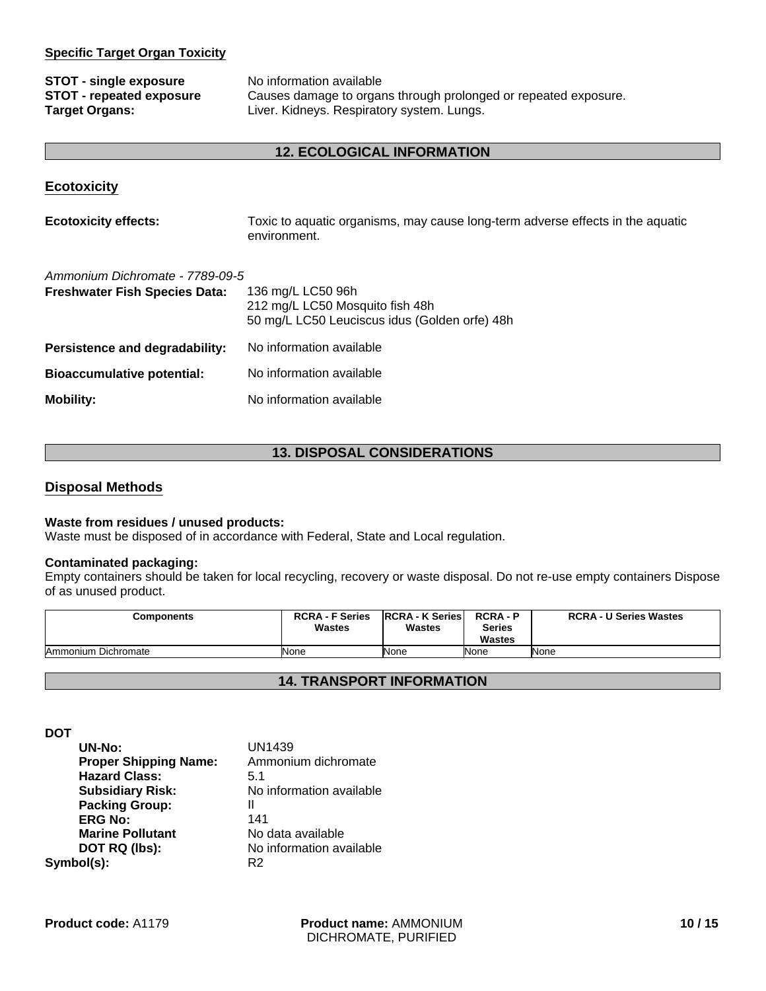#### **Specific Target Organ Toxicity**

| <b>STOT - single exposure</b>   | No information available                                        |
|---------------------------------|-----------------------------------------------------------------|
| <b>STOT - repeated exposure</b> | Causes damage to organs through prolonged or repeated exposure. |
| <b>Target Organs:</b>           | Liver. Kidneys. Respiratory system. Lungs.                      |

#### **12. ECOLOGICAL INFORMATION**

#### **Ecotoxicity**

| <b>Ecotoxicity effects:</b> | Toxic to aquatic organisms, may cause long-term adverse effects in the aquatic |
|-----------------------------|--------------------------------------------------------------------------------|
|                             | environment.                                                                   |

| Ammonium Dichromate - 7789-09-5      |                                                                                                       |
|--------------------------------------|-------------------------------------------------------------------------------------------------------|
| <b>Freshwater Fish Species Data:</b> | 136 mg/L LC50 96h<br>212 mg/L LC50 Mosquito fish 48h<br>50 mg/L LC50 Leuciscus idus (Golden orfe) 48h |
| Persistence and degradability:       | No information available                                                                              |
| <b>Bioaccumulative potential:</b>    | No information available                                                                              |
| <b>Mobility:</b>                     | No information available                                                                              |

#### **13. DISPOSAL CONSIDERATIONS**

#### **Disposal Methods**

#### **Waste from residues / unused products:**

Waste must be disposed of in accordance with Federal, State and Local regulation.

#### **Contaminated packaging:**

Empty containers should be taken for local recycling, recovery or waste disposal. Do not re-use empty containers Dispose of as unused product.

| <b>Components</b>   | <b>RCRA - F Series</b><br><b>Wastes</b> | <b>RCRA - K Series</b><br><b>Wastes</b> | <b>RCRA-P</b><br><b>Series</b><br><b>Wastes</b> | <b>RCRA - U Series Wastes</b> |
|---------------------|-----------------------------------------|-----------------------------------------|-------------------------------------------------|-------------------------------|
| Ammonium Dichromate | None                                    | None                                    | <b>None</b>                                     | None                          |

#### **14. TRANSPORT INFORMATION**

**DOT**

| <b>UN1439</b>            |
|--------------------------|
| Ammonium dichromate      |
| 5.1                      |
| No information available |
| Ш                        |
| 141                      |
| No data available        |
| No information available |
| R2                       |
|                          |

**Product name:** AMMONIUM DICHROMATE, PURIFIED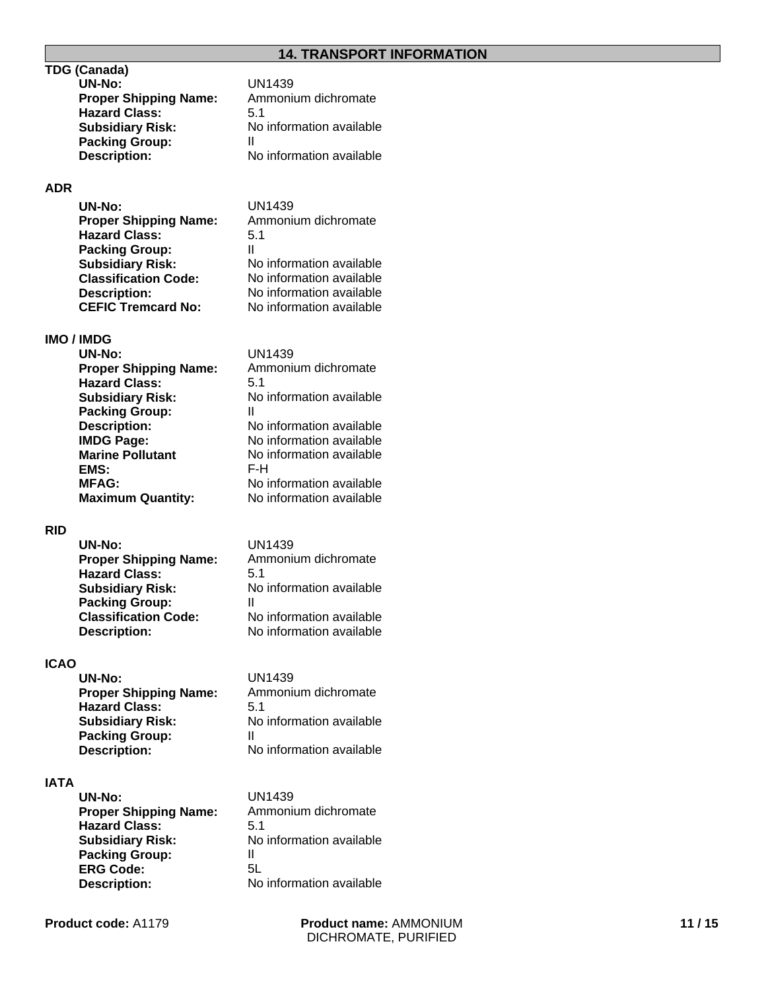#### **14. TRANSPORT INFORMATION**

#### **TDG (Canada)**

| UN-No:                       | UN1439                   |
|------------------------------|--------------------------|
| <b>Proper Shipping Name:</b> | Ammonium dichromate      |
| <b>Hazard Class:</b>         | 5.1                      |
| <b>Subsidiary Risk:</b>      | No information available |
| <b>Packing Group:</b>        |                          |
| <b>Description:</b>          | No information available |
|                              |                          |

#### **ADR**

| <b>UN-No:</b>                | UN1439                   |
|------------------------------|--------------------------|
| <b>Proper Shipping Name:</b> | Ammonium dichromate      |
| <b>Hazard Class:</b>         | 5.1                      |
| <b>Packing Group:</b>        | Ш                        |
| <b>Subsidiary Risk:</b>      | No information available |
| <b>Classification Code:</b>  | No information available |
| <b>Description:</b>          | No information available |
| <b>CEFIC Tremcard No:</b>    | No information available |

#### **IMO / IMDG**

| <b>UN-No:</b>                | UN1439                   |
|------------------------------|--------------------------|
| <b>Proper Shipping Name:</b> | Ammonium dichromate      |
| <b>Hazard Class:</b>         | 5.1                      |
| <b>Subsidiary Risk:</b>      | No information available |
| <b>Packing Group:</b>        | Ш                        |
| <b>Description:</b>          | No information available |
| <b>IMDG Page:</b>            | No information available |
| <b>Marine Pollutant</b>      | No information available |
| EMS:                         | F-H                      |
| <b>MFAG:</b>                 | No information available |
| <b>Maximum Quantity:</b>     | No information available |
|                              |                          |

#### **RID**

| UN-No:                       | UN1439                   |
|------------------------------|--------------------------|
| <b>Proper Shipping Name:</b> | Ammonium dichromate      |
| <b>Hazard Class:</b>         | 5.1                      |
| <b>Subsidiary Risk:</b>      | No information available |
| <b>Packing Group:</b>        |                          |
| <b>Classification Code:</b>  | No information available |
| <b>Description:</b>          | No information available |

#### **ICAO**

| UN-No:                       | UN1439                   |
|------------------------------|--------------------------|
| <b>Proper Shipping Name:</b> | Ammonium dichromate      |
| <b>Hazard Class:</b>         | 5.1                      |
| <b>Subsidiary Risk:</b>      | No information available |
| <b>Packing Group:</b>        | н                        |
| <b>Description:</b>          | No information available |

#### **IATA**

| UN-No:                       | UN1439                   |
|------------------------------|--------------------------|
| <b>Proper Shipping Name:</b> | Ammonium dichromate      |
| <b>Hazard Class:</b>         | 5.1                      |
| <b>Subsidiary Risk:</b>      | No information available |
| <b>Packing Group:</b>        | Ш                        |
| <b>ERG Code:</b>             | 5L                       |
| <b>Description:</b>          | No information available |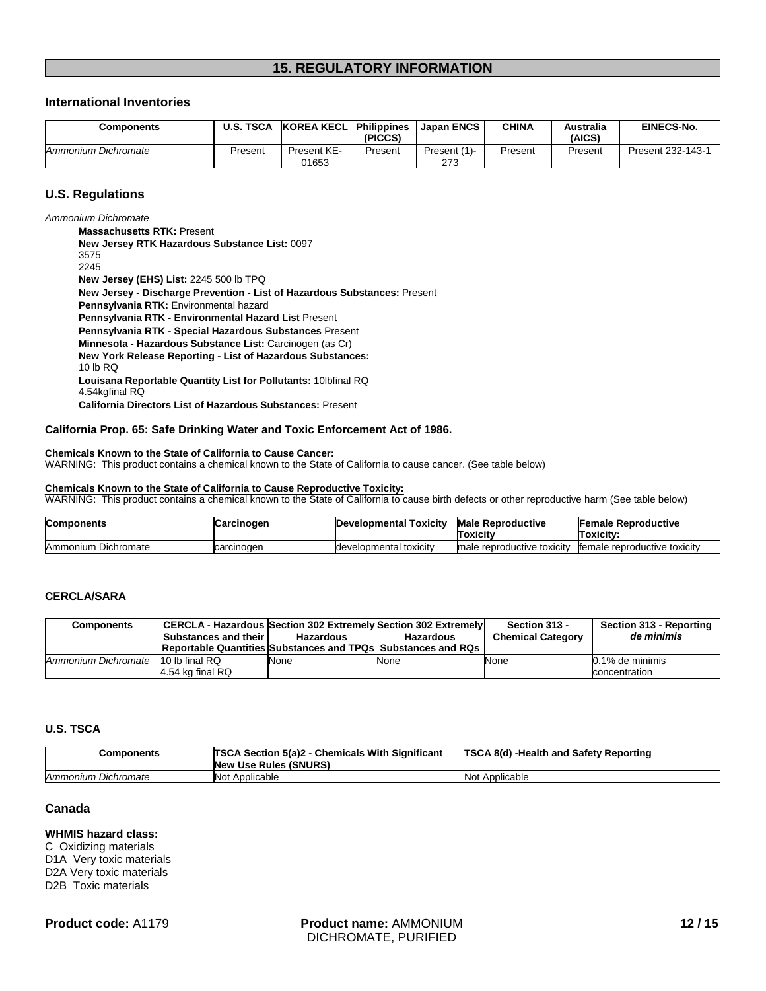#### **15. REGULATORY INFORMATION**

#### **International Inventories**

| Components          | <b>U.S. TSCA</b> | <b>KOREA KECLI</b>   | <b>Philippines</b><br>(PICCS) | Japan ENCS          | CHINA   | Australia<br>(AICS' | <b>EINECS-No.</b> |
|---------------------|------------------|----------------------|-------------------------------|---------------------|---------|---------------------|-------------------|
| Ammonium Dichromate | Present          | Present KE-<br>01653 | Present                       | Present (1)-<br>273 | Present | Present             | Present 232-143-1 |

#### **U.S. Regulations**

*Ammonium Dichromate*

**New Jersey RTK Hazardous Substance List:** 0097 3575 2245 **Pennsylvania RTK - Environmental Hazard List** Present **Massachusetts RTK:** Present **Pennsylvania RTK - Special Hazardous Substances** Present **New Jersey (EHS) List:** 2245 500 lb TPQ **Minnesota - Hazardous Substance List:** Carcinogen (as Cr) **New York Release Reporting - List of Hazardous Substances:** 10 lb RQ **New Jersey - Discharge Prevention - List of Hazardous Substances:** Present **Louisana Reportable Quantity List for Pollutants:** 10lbfinal RQ 4.54kgfinal RQ **California Directors List of Hazardous Substances:** Present **Pennsylvania RTK:** Environmental hazard

#### **California Prop. 65: Safe Drinking Water and Toxic Enforcement Act of 1986.**

#### **Chemicals Known to the State of California to Cause Cancer:**

WARNING: This product contains a chemical known to the State of California to cause cancer. (See table below)

#### **Chemicals Known to the State of California to Cause Reproductive Toxicity:**

WARNING: This product contains a chemical known to the State of California to cause birth defects or other reproductive harm (See table below)

| <b>Components</b>      | Carcinogen | Developmental<br>Toxicity | <b>Male Reproductive</b><br>Toxicitv | <b>Female Reproductive</b><br>Toxicitv: |
|------------------------|------------|---------------------------|--------------------------------------|-----------------------------------------|
| Dichromate<br>Ammonium | carcinogen | Idevelopmental toxicity   | Imale reproductive toxicity          | female reproductive toxicity            |

#### **CERCLA/SARA**

| <b>Components</b>   | CERCLA - Hazardous Section 302 Extremely Section 302 Extremely<br><b>Substances and their</b><br><b>Reportable Quantities Substances and TPQs Substances and RQs</b> | Hazardous | <b>Hazardous</b> | Section 313 -<br><b>Chemical Category</b> | Section 313 - Reporting<br>de minimis |
|---------------------|----------------------------------------------------------------------------------------------------------------------------------------------------------------------|-----------|------------------|-------------------------------------------|---------------------------------------|
| Ammonium Dichromate | 10 lb final RQ<br>4.54 kg final RQ                                                                                                                                   | None      | None             | None                                      | $0.1\%$ de minimis<br>concentration   |

#### **U.S. TSCA**

| Components          | <b>TSCA Section 5(a)2 - Chemicals With Significant</b><br><b>New Use Rules (SNURS)</b> | <b>TSCA 8(d) -Health and Safety Reporting</b> |
|---------------------|----------------------------------------------------------------------------------------|-----------------------------------------------|
| Ammonium Dichromate | Not Applicable                                                                         | Not Applicable                                |

#### **Canada**

#### **WHMIS hazard class:**

C Oxidizing materials D1A Very toxic materials D2A Very toxic materials D2B Toxic materials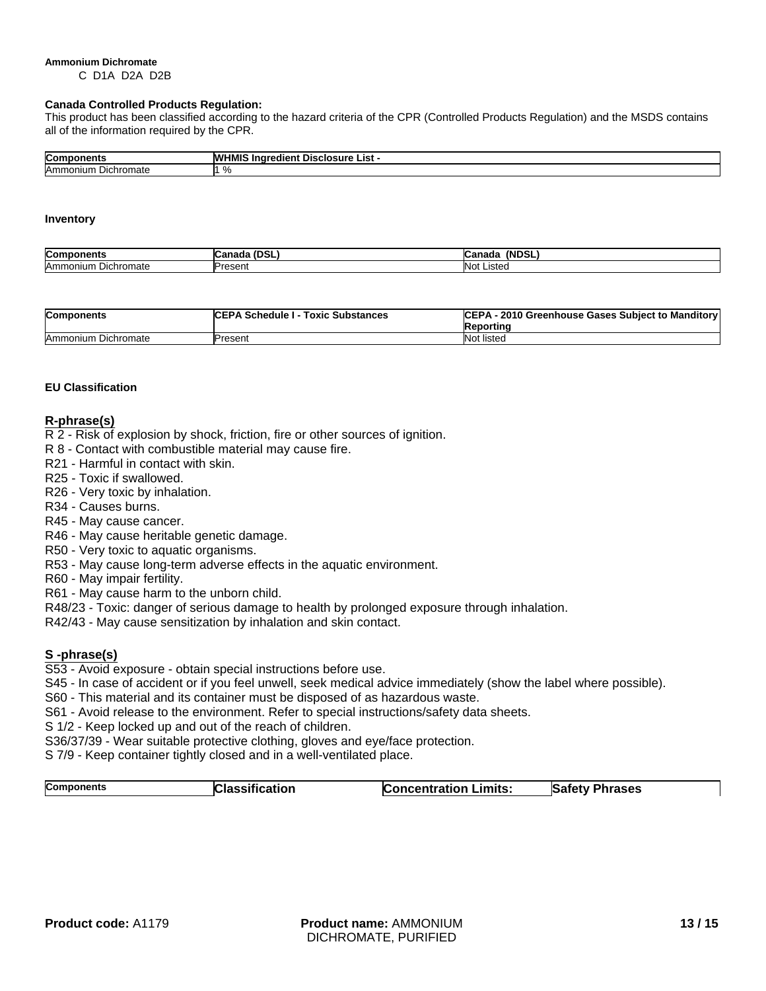#### **Ammonium Dichromate**

C D1A D2A D2B

#### **Canada Controlled Products Regulation:**

This product has been classified according to the hazard criteria of the CPR (Controlled Products Regulation) and the MSDS contains all of the information required by the CPR.

| $\sim$ -<br>orټ | .<br><b>WHI</b><br>. Inc<br><b>OSUITE</b><br>edient<br>ונ<br>List<br>71 I V |
|-----------------|-----------------------------------------------------------------------------|
| Amn<br>mromate. | $\sim$<br>. .<br>70                                                         |

#### **Inventory**

| Com                      | - - -             | <b>(NDSL</b>      |
|--------------------------|-------------------|-------------------|
| nents                    |                   | ⊸anada            |
| Amm<br>Dichromate<br>ıum | Dracant<br>ເບຣະເແ | <b>Not Listed</b> |

| <b>Components</b>   | <b>ICEPA Schedule I - Toxic Substances</b> | CEPA - 2010 Greenhouse Gases Subject to Manditory<br>Reporting |
|---------------------|--------------------------------------------|----------------------------------------------------------------|
| Ammonium Dichromate | Present                                    | Not listed                                                     |

#### **EU Classification**

#### **R-phrase(s)**

R 2 - Risk of explosion by shock, friction, fire or other sources of ignition.

- R 8 Contact with combustible material may cause fire.
- R21 Harmful in contact with skin.
- R25 Toxic if swallowed.
- R26 Very toxic by inhalation.
- R34 Causes burns.
- R45 May cause cancer.
- R46 May cause heritable genetic damage.
- R50 Very toxic to aquatic organisms.
- R53 May cause long-term adverse effects in the aquatic environment.
- R60 May impair fertility.
- R61 May cause harm to the unborn child.
- R48/23 Toxic: danger of serious damage to health by prolonged exposure through inhalation.
- R42/43 May cause sensitization by inhalation and skin contact.

#### **S -phrase(s)**

- S53 Avoid exposure obtain special instructions before use.
- S45 In case of accident or if you feel unwell, seek medical advice immediately (show the label where possible).
- S60 This material and its container must be disposed of as hazardous waste.
- S61 Avoid release to the environment. Refer to special instructions/safety data sheets.
- S 1/2 Keep locked up and out of the reach of children.
- S36/37/39 Wear suitable protective clothing, gloves and eye/face protection.
- S 7/9 Keep container tightly closed and in a well-ventilated place.

| <b>Components</b><br><b>Classification</b><br><b>Safety Phrases</b><br><b>Concentration Limits:</b> |  |
|-----------------------------------------------------------------------------------------------------|--|
|-----------------------------------------------------------------------------------------------------|--|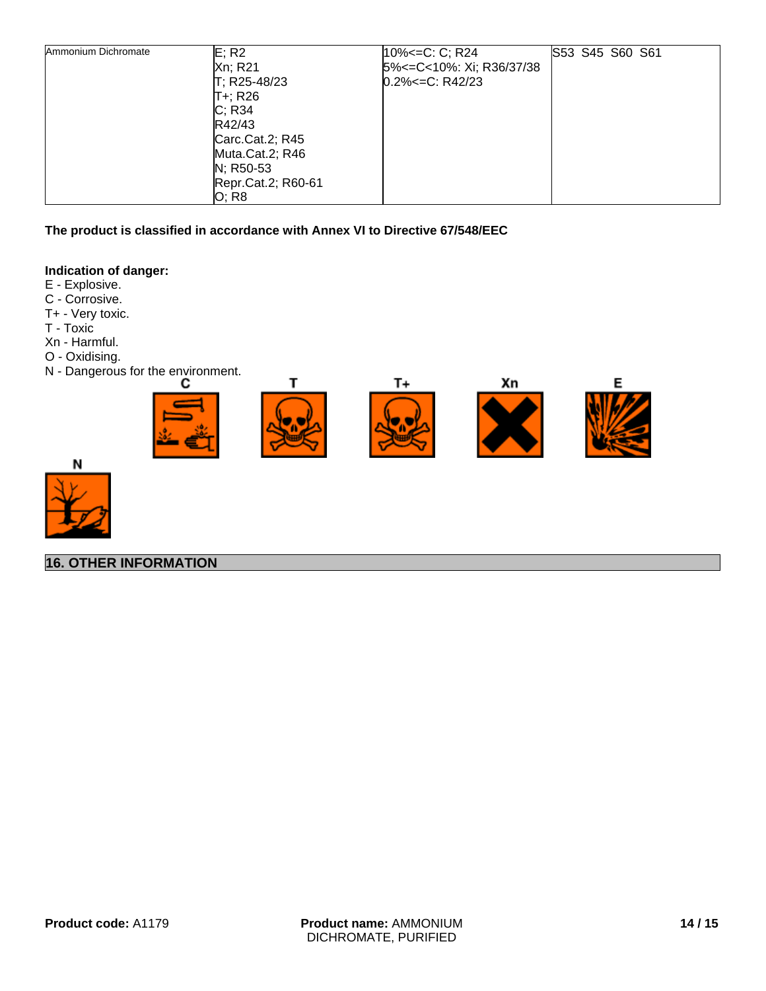| Ammonium Dichromate | E; R2<br>Xn; R21<br>T; R25-48/23<br>IT+; R26<br>C; R34<br>R42/43<br>Carc.Cat.2; R45<br>Muta.Cat.2; R46<br>N; R50-53<br>Repr.Cat.2; R60-61 | 10% <= C: C; R24<br>5% <= C < 10%: Xi; R36/37/38<br>$0.2\% < = C$ : R42/23 | S53 S45 S60 S61 |  |
|---------------------|-------------------------------------------------------------------------------------------------------------------------------------------|----------------------------------------------------------------------------|-----------------|--|
|                     | O; R8                                                                                                                                     |                                                                            |                 |  |

**The product is classified in accordance with Annex VI to Directive 67/548/EEC**

#### **Indication of danger:**

E - Explosive.

- C Corrosive.
- T+ Very toxic.
- T Toxic
- Xn Harmful.
- O Oxidising.
- N Dangerous for the environment.





**16. OTHER INFORMATION**